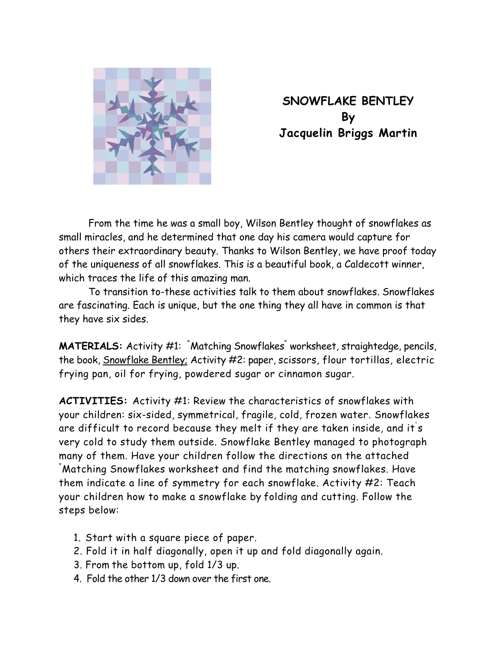

**SNOWFLAKE BENTLEY By Jacquelin Briggs Martin** 

 From the time he was a small boy, Wilson Bentley thought of snowflakes as small miracles, and he determined that one day his camera would capture for others their extraordinary beauty. Thanks to Wilson Bentley, we have proof today of the uniqueness of all snowflakes. This is a beautiful book, a Caldecott winner, which traces the life of this amazing man.

 To transition to-these activities talk to them about snowflakes. Snowflakes are fascinating. Each is unique, but the one thing they all have in common is that they have six sides.

**MATERIALS:** Activity #1: <sup>"</sup>Matching Snowflakes" worksheet, straightedge, pencils, the book, Snowflake Bentley; Activity #2: paper, scissors, flour tortillas, electric frying pan, oil for frying, powdered sugar or cinnamon sugar.

**ACTIVITIES:** Activity #1: Review the characteristics of snowflakes with your children: six-sided, symmetrical, fragile, cold, frozen water. Snowflakes are difficult to record because they melt if they are taken inside, and it' s very cold to study them outside. Snowflake Bentley managed to photograph many of them. Have your children follow the directions on the attached Matching Snowflakes worksheet and find the matching snowflakes. Have them indicate a line of symmetry for each snowflake. Activity #2: Teach your children how to make a snowflake by folding and cutting. Follow the steps below:

- 1. Start with a square piece of paper.
- 2. Fold it in half diagonally, open it up and fold diagonally again.
- 3. From the bottom up, fold 1/3 up.
- 4. Fold the other 1/3 down over the first one.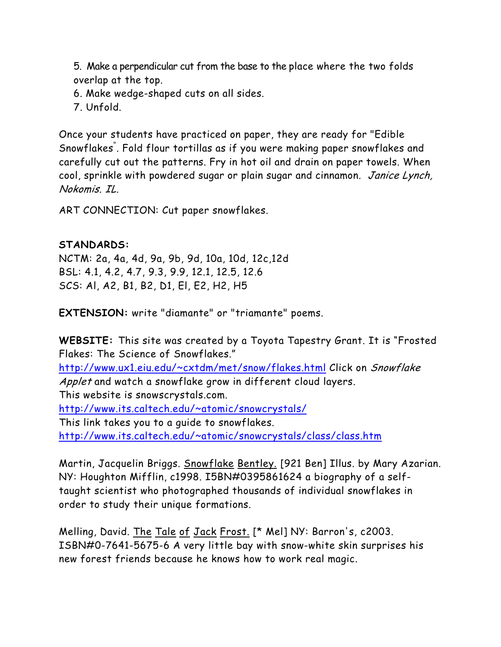5. Make a perpendicular cut from the base to the place where the two folds overlap at the top.

- 6. Make wedge-shaped cuts on all sides.
- 7. Unfold.

Once your students have practiced on paper, they are ready for "Edible Snowflakes" . Fold flour tortillas as if you were making paper snowflakes and carefully cut out the patterns. Fry in hot oil and drain on paper towels. When cool, sprinkle with powdered sugar or plain sugar and cinnamon. Janice Lynch, Nokomis. IL.

ART CONNECTION: Cut paper snowflakes.

## **STANDARDS:**

NCTM: 2a, 4a, 4d, 9a, 9b, 9d, 10a, 10d, 12c,12d BSL: 4.1, 4.2, 4.7, 9.3, 9.9, 12.1, 12.5, 12.6 SCS: Al, A2, B1, B2, D1, El, E2, H2, H5

**EXTENSION:** write "diamante" or "triamante" poems.

**WEBSITE:** This site was created by a Toyota Tapestry Grant. It is "Frosted Flakes: The Science of Snowflakes." http://www.ux1.eiu.edu/~cxtdm/met/snow/flakes.html Click on Snowflake Applet and watch a snowflake grow in different cloud layers. This website is snowscrystals.com. http://www.its.caltech.edu/~atomic/snowcrystals/ This link takes you to a guide to snowflakes. http://www.its.caltech.edu/~atomic/snowcrystals/class/class.htm

Martin, Jacquelin Briggs. Snowflake Bentley. [921 Ben] Illus. by Mary Azarian. NY: Houghton Mifflin, c1998. I5BN#0395861624 a biography of a selftaught scientist who photographed thousands of individual snowflakes in order to study their unique formations.

Melling, David. The Tale of Jack Frost. [\* Mel] NY: Barron's, c2003. ISBN#0-7641-5675-6 A very little bay with snow-white skin surprises his new forest friends because he knows how to work real magic.